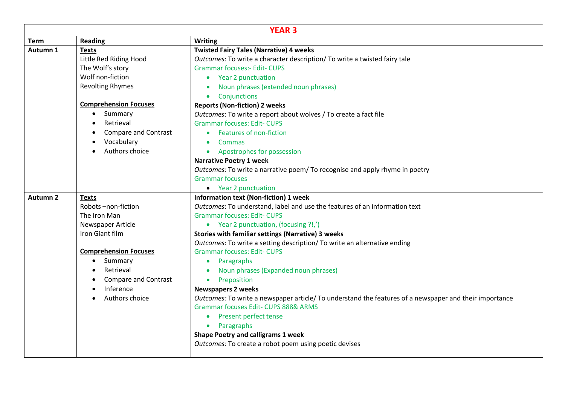| <b>YEAR 3</b>       |                              |                                                                                                        |  |  |
|---------------------|------------------------------|--------------------------------------------------------------------------------------------------------|--|--|
| <b>Term</b>         | <b>Reading</b>               | <b>Writing</b>                                                                                         |  |  |
| Autumn 1            | <b>Texts</b>                 | <b>Twisted Fairy Tales (Narrative) 4 weeks</b>                                                         |  |  |
|                     | Little Red Riding Hood       | Outcomes: To write a character description/ To write a twisted fairy tale                              |  |  |
|                     | The Wolf's story             | <b>Grammar focuses:- Edit- CUPS</b>                                                                    |  |  |
|                     | Wolf non-fiction             | • Year 2 punctuation                                                                                   |  |  |
|                     | <b>Revolting Rhymes</b>      | Noun phrases (extended noun phrases)                                                                   |  |  |
|                     |                              | Conjunctions<br>$\bullet$                                                                              |  |  |
|                     | <b>Comprehension Focuses</b> | <b>Reports (Non-fiction) 2 weeks</b>                                                                   |  |  |
|                     | Summary                      | Outcomes: To write a report about wolves / To create a fact file                                       |  |  |
|                     | Retrieval                    | <b>Grammar focuses: Edit- CUPS</b>                                                                     |  |  |
|                     | <b>Compare and Contrast</b>  | Features of non-fiction                                                                                |  |  |
|                     | Vocabulary                   | Commas<br>$\bullet$                                                                                    |  |  |
|                     | Authors choice               | Apostrophes for possession                                                                             |  |  |
|                     |                              | <b>Narrative Poetry 1 week</b>                                                                         |  |  |
|                     |                              | Outcomes: To write a narrative poem/ To recognise and apply rhyme in poetry                            |  |  |
|                     |                              | <b>Grammar focuses</b>                                                                                 |  |  |
|                     |                              | • Year 2 punctuation                                                                                   |  |  |
| Autumn <sub>2</sub> | <b>Texts</b>                 | <b>Information text (Non-fiction) 1 week</b>                                                           |  |  |
|                     | Robots-non-fiction           | Outcomes: To understand, label and use the features of an information text                             |  |  |
|                     | The Iron Man                 | <b>Grammar focuses: Edit- CUPS</b>                                                                     |  |  |
|                     | Newspaper Article            | • Year 2 punctuation, (focusing ?!,')                                                                  |  |  |
|                     | Iron Giant film              | <b>Stories with familiar settings (Narrative) 3 weeks</b>                                              |  |  |
|                     |                              | Outcomes: To write a setting description/ To write an alternative ending                               |  |  |
|                     | <b>Comprehension Focuses</b> | <b>Grammar focuses: Edit- CUPS</b>                                                                     |  |  |
|                     | Summary<br>$\bullet$         | Paragraphs<br>$\bullet$                                                                                |  |  |
|                     | Retrieval                    | Noun phrases (Expanded noun phrases)                                                                   |  |  |
|                     | <b>Compare and Contrast</b>  | Preposition<br>$\bullet$                                                                               |  |  |
|                     | Inference                    | <b>Newspapers 2 weeks</b>                                                                              |  |  |
|                     | Authors choice               | Outcomes: To write a newspaper article/ To understand the features of a newspaper and their importance |  |  |
|                     |                              | <b>Grammar focuses Edit- CUPS 888&amp; ARMS</b>                                                        |  |  |
|                     |                              | <b>Present perfect tense</b><br>$\bullet$                                                              |  |  |
|                     |                              | Paragraphs<br>$\bullet$                                                                                |  |  |
|                     |                              | <b>Shape Poetry and calligrams 1 week</b>                                                              |  |  |
|                     |                              | Outcomes: To create a robot poem using poetic devises                                                  |  |  |
|                     |                              |                                                                                                        |  |  |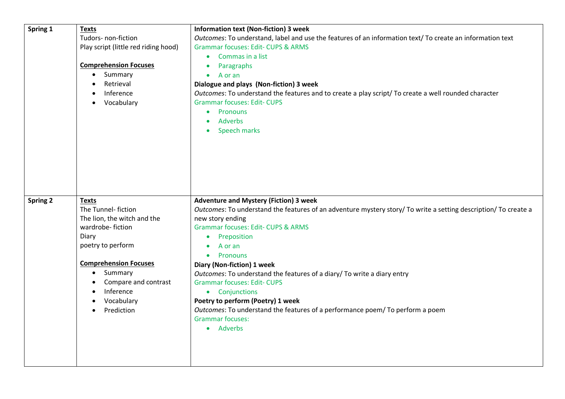| Spring 1        | <b>Texts</b>                              | <b>Information text (Non-fiction) 3 week</b>                                                                    |
|-----------------|-------------------------------------------|-----------------------------------------------------------------------------------------------------------------|
|                 | Tudors- non-fiction                       | Outcomes: To understand, label and use the features of an information text/ To create an information text       |
|                 | Play script (little red riding hood)      | <b>Grammar focuses: Edit- CUPS &amp; ARMS</b>                                                                   |
|                 |                                           | Commas in a list                                                                                                |
|                 | <b>Comprehension Focuses</b>              | Paragraphs<br>$\bullet$                                                                                         |
|                 | Summary                                   | A or an<br>$\bullet$                                                                                            |
|                 | Retrieval                                 | Dialogue and plays (Non-fiction) 3 week                                                                         |
|                 | Inference                                 | Outcomes: To understand the features and to create a play script/ To create a well rounded character            |
|                 | Vocabulary                                | <b>Grammar focuses: Edit- CUPS</b>                                                                              |
|                 |                                           | Pronouns<br>$\bullet$                                                                                           |
|                 |                                           | <b>Adverbs</b>                                                                                                  |
|                 |                                           | Speech marks                                                                                                    |
|                 |                                           |                                                                                                                 |
|                 |                                           |                                                                                                                 |
|                 |                                           |                                                                                                                 |
|                 |                                           |                                                                                                                 |
|                 |                                           |                                                                                                                 |
|                 |                                           |                                                                                                                 |
|                 |                                           |                                                                                                                 |
|                 |                                           |                                                                                                                 |
| <b>Spring 2</b> | <b>Texts</b>                              | <b>Adventure and Mystery (Fiction) 3 week</b>                                                                   |
|                 | The Tunnel- fiction                       | Outcomes: To understand the features of an adventure mystery story/ To write a setting description/ To create a |
|                 | The lion, the witch and the               | new story ending                                                                                                |
|                 | wardrobe-fiction                          | <b>Grammar focuses: Edit- CUPS &amp; ARMS</b>                                                                   |
|                 | Diary                                     | Preposition<br>$\bullet$                                                                                        |
|                 | poetry to perform                         | A or an                                                                                                         |
|                 |                                           | Pronouns<br>$\bullet$                                                                                           |
|                 | <b>Comprehension Focuses</b><br>$\bullet$ | Diary (Non-fiction) 1 week                                                                                      |
|                 | Summary                                   | Outcomes: To understand the features of a diary/ To write a diary entry                                         |
|                 | Compare and contrast<br>Inference         | <b>Grammar focuses: Edit- CUPS</b>                                                                              |
|                 |                                           | • Conjunctions                                                                                                  |
|                 | Vocabulary<br>Prediction<br>$\bullet$     | Poetry to perform (Poetry) 1 week                                                                               |
|                 |                                           | Outcomes: To understand the features of a performance poem/ To perform a poem<br><b>Grammar focuses:</b>        |
|                 |                                           | • Adverbs                                                                                                       |
|                 |                                           |                                                                                                                 |
|                 |                                           |                                                                                                                 |
|                 |                                           |                                                                                                                 |